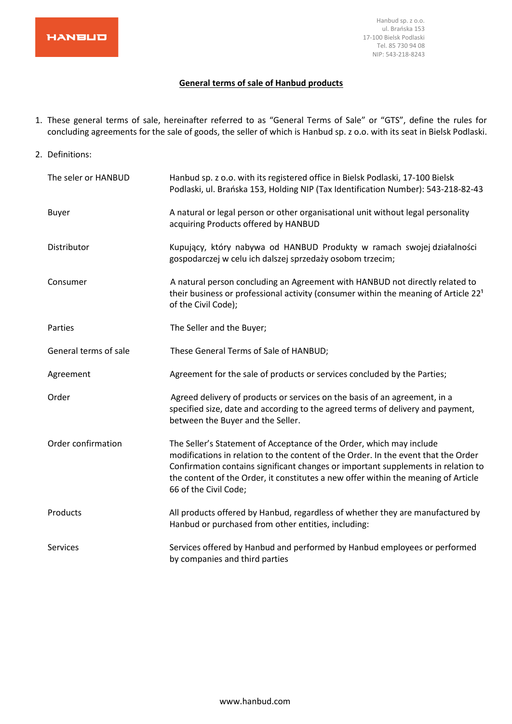

#### **General terms of sale of Hanbud products**

- 1. These general terms of sale, hereinafter referred to as "General Terms of Sale" or "GTS", define the rules for concluding agreements for the sale of goods, the seller of which is Hanbud sp. z o.o. with its seat in Bielsk Podlaski.
- 2. Definitions: The seler or HANBUD Hanbud sp. z o.o. with its registered office in Bielsk Podlaski, 17-100 Bielsk Podlaski, ul. Brańska 153, Holding NIP (Tax Identification Number): 543-218-82-43 Buyer **A** natural or legal person or other organisational unit without legal personality acquiring Products offered by HANBUD Distributor Kupujący, który nabywa od HANBUD Produkty w ramach swojej działalności gospodarczej w celu ich dalszej sprzedaży osobom trzecim; Consumer A natural person concluding an Agreement with HANBUD not directly related to their business or professional activity (consumer within the meaning of Article  $22<sup>1</sup>$ of the Civil Code); Parties The Seller and the Buyer; General terms of sale These General Terms of Sale of HANBUD; Agreement Agreement Agreement for the sale of products or services concluded by the Parties; Order **Agreed delivery of products or services on the basis of an agreement, in a** specified size, date and according to the agreed terms of delivery and payment, between the Buyer and the Seller. Order confirmation The Seller's Statement of Acceptance of the Order, which may include modifications in relation to the content of the Order. In the event that the Order Confirmation contains significant changes or important supplements in relation to the content of the Order, it constitutes a new offer within the meaning of Article 66 of the Civil Code; Products All products offered by Hanbud, regardless of whether they are manufactured by Hanbud or purchased from other entities, including: Services Services offered by Hanbud and performed by Hanbud employees or performed by companies and third parties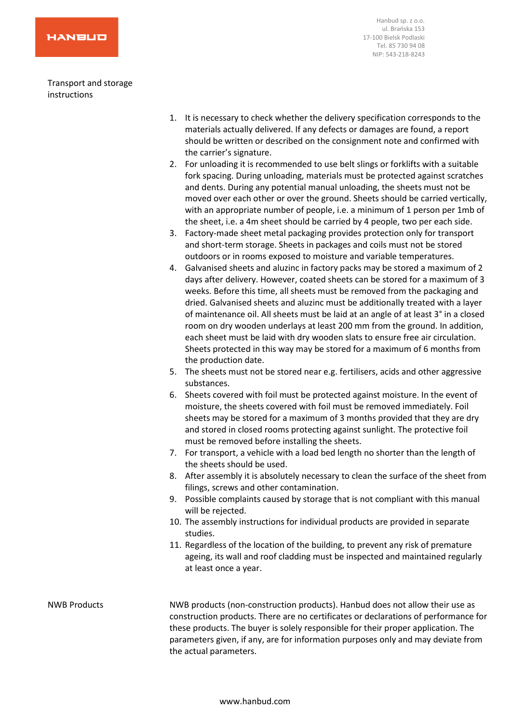Transport and storage instructions

- 1. It is necessary to check whether the delivery specification corresponds to the materials actually delivered. If any defects or damages are found, a report should be written or described on the consignment note and confirmed with the carrier's signature.
- 2. For unloading it is recommended to use belt slings or forklifts with a suitable fork spacing. During unloading, materials must be protected against scratches and dents. During any potential manual unloading, the sheets must not be moved over each other or over the ground. Sheets should be carried vertically, with an appropriate number of people, i.e. a minimum of 1 person per 1mb of the sheet, i.e. a 4m sheet should be carried by 4 people, two per each side.
- 3. Factory-made sheet metal packaging provides protection only for transport and short-term storage. Sheets in packages and coils must not be stored outdoors or in rooms exposed to moisture and variable temperatures.
- 4. Galvanised sheets and aluzinc in factory packs may be stored a maximum of 2 days after delivery. However, coated sheets can be stored for a maximum of 3 weeks. Before this time, all sheets must be removed from the packaging and dried. Galvanised sheets and aluzinc must be additionally treated with a layer of maintenance oil. All sheets must be laid at an angle of at least 3° in a closed room on dry wooden underlays at least 200 mm from the ground. In addition, each sheet must be laid with dry wooden slats to ensure free air circulation. Sheets protected in this way may be stored for a maximum of 6 months from the production date.
- 5. The sheets must not be stored near e.g. fertilisers, acids and other aggressive substances.
- 6. Sheets covered with foil must be protected against moisture. In the event of moisture, the sheets covered with foil must be removed immediately. Foil sheets may be stored for a maximum of 3 months provided that they are dry and stored in closed rooms protecting against sunlight. The protective foil must be removed before installing the sheets.
- 7. For transport, a vehicle with a load bed length no shorter than the length of the sheets should be used.
- 8. After assembly it is absolutely necessary to clean the surface of the sheet from filings, screws and other contamination.
- 9. Possible complaints caused by storage that is not compliant with this manual will be rejected.
- 10. The assembly instructions for individual products are provided in separate studies.
- 11. Regardless of the location of the building, to prevent any risk of premature ageing, its wall and roof cladding must be inspected and maintained regularly at least once a year.

# NWB Products NWB products (non-construction products). Hanbud does not allow their use as construction products. There are no certificates or declarations of performance for these products. The buyer is solely responsible for their proper application. The parameters given, if any, are for information purposes only and may deviate from the actual parameters.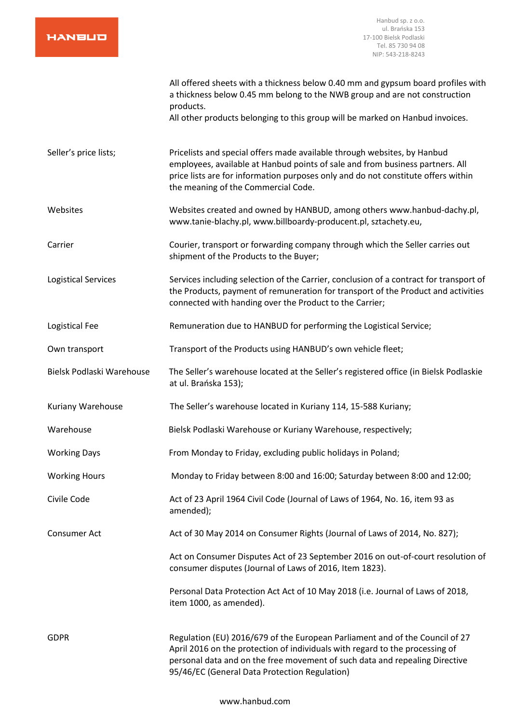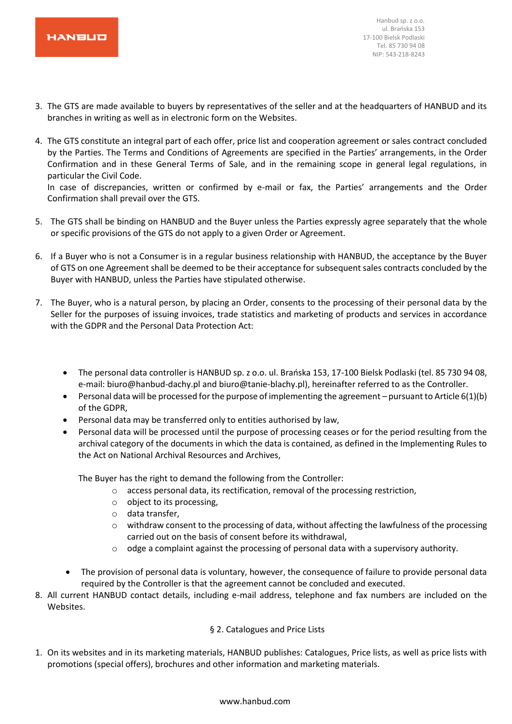

- 3. The GTS are made available to buyers by representatives of the seller and at the headquarters of HANBUD and its branches in writing as well as in electronic form on the Websites.
- 4. The GTS constitute an integral part of each offer, price list and cooperation agreement or sales contract concluded by the Parties. The Terms and Conditions of Agreements are specified in the Parties' arrangements, in the Order Confirmation and in these General Terms of Sale, and in the remaining scope in general legal regulations, in particular the Civil Code.

In case of discrepancies, written or confirmed by e-mail or fax, the Parties' arrangements and the Order Confirmation shall prevail over the GTS.

- 5. The GTS shall be binding on HANBUD and the Buyer unless the Parties expressly agree separately that the whole or specific provisions of the GTS do not apply to a given Order or Agreement.
- 6. If a Buyer who is not a Consumer is in a regular business relationship with HANBUD, the acceptance by the Buyer of GTS on one Agreement shall be deemed to be their acceptance for subsequent sales contracts concluded by the Buyer with HANBUD, unless the Parties have stipulated otherwise.
- 7. The Buyer, who is a natural person, by placing an Order, consents to the processing of their personal data by the Seller for the purposes of issuing invoices, trade statistics and marketing of products and services in accordance with the GDPR and the Personal Data Protection Act:
	- The personal data controller is HANBUD sp. z o.o. ul. Brańska 153, 17-100 Bielsk Podlaski (tel. 85 730 94 08, e-mail: biuro@hanbud-dachy.pl and biuro@tanie-blachy.pl), hereinafter referred to as the Controller.
	- Personal data will be processed for the purpose of implementing the agreement pursuant to Article 6(1)(b) of the GDPR,
	- Personal data may be transferred only to entities authorised by law,
	- Personal data will be processed until the purpose of processing ceases or for the period resulting from the archival category of the documents in which the data is contained, as defined in the Implementing Rules to the Act on National Archival Resources and Archives,

The Buyer has the right to demand the following from the Controller:

- o access personal data, its rectification, removal of the processing restriction,
- o object to its processing,
- o data transfer,
- $\circ$  withdraw consent to the processing of data, without affecting the lawfulness of the processing carried out on the basis of consent before its withdrawal,
- $\circ$  odge a complaint against the processing of personal data with a supervisory authority.
- The provision of personal data is voluntary, however, the consequence of failure to provide personal data required by the Controller is that the agreement cannot be concluded and executed.
- 8. All current HANBUD contact details, including e-mail address, telephone and fax numbers are included on the Websites.

# § 2. Catalogues and Price Lists

1. On its websites and in its marketing materials, HANBUD publishes: Catalogues, Price lists, as well as price lists with promotions (special offers), brochures and other information and marketing materials.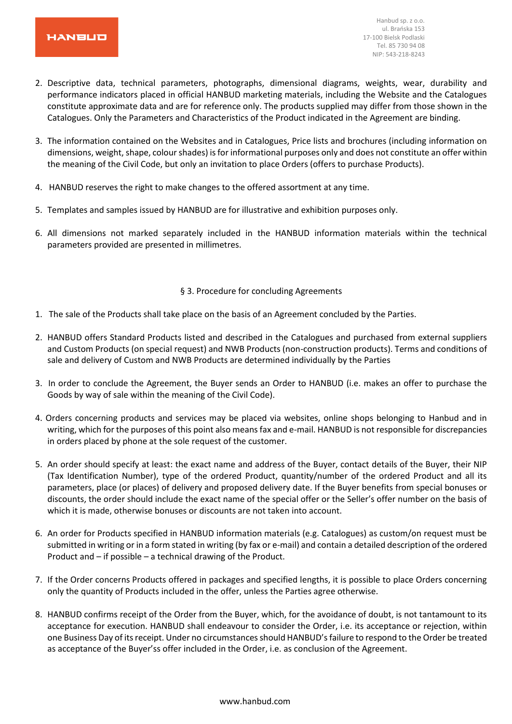

- 2. Descriptive data, technical parameters, photographs, dimensional diagrams, weights, wear, durability and performance indicators placed in official HANBUD marketing materials, including the Website and the Catalogues constitute approximate data and are for reference only. The products supplied may differ from those shown in the Catalogues. Only the Parameters and Characteristics of the Product indicated in the Agreement are binding.
- 3. The information contained on the Websites and in Catalogues, Price lists and brochures (including information on dimensions, weight, shape, colour shades) is for informational purposes only and does not constitute an offer within the meaning of the Civil Code, but only an invitation to place Orders (offers to purchase Products).
- 4. HANBUD reserves the right to make changes to the offered assortment at any time.
- 5. Templates and samples issued by HANBUD are for illustrative and exhibition purposes only.
- 6. All dimensions not marked separately included in the HANBUD information materials within the technical parameters provided are presented in millimetres.

#### § 3. Procedure for concluding Agreements

- 1. The sale of the Products shall take place on the basis of an Agreement concluded by the Parties.
- 2. HANBUD offers Standard Products listed and described in the Catalogues and purchased from external suppliers and Custom Products (on special request) and NWB Products (non-construction products). Terms and conditions of sale and delivery of Custom and NWB Products are determined individually by the Parties
- 3. In order to conclude the Agreement, the Buyer sends an Order to HANBUD (i.e. makes an offer to purchase the Goods by way of sale within the meaning of the Civil Code).
- 4. Orders concerning products and services may be placed via websites, online shops belonging to Hanbud and in writing, which for the purposes of this point also means fax and e-mail. HANBUD is not responsible for discrepancies in orders placed by phone at the sole request of the customer.
- 5. An order should specify at least: the exact name and address of the Buyer, contact details of the Buyer, their NIP (Tax Identification Number), type of the ordered Product, quantity/number of the ordered Product and all its parameters, place (or places) of delivery and proposed delivery date. If the Buyer benefits from special bonuses or discounts, the order should include the exact name of the special offer or the Seller's offer number on the basis of which it is made, otherwise bonuses or discounts are not taken into account.
- 6. An order for Products specified in HANBUD information materials (e.g. Catalogues) as custom/on request must be submitted in writing or in a form stated in writing (by fax or e-mail) and contain a detailed description of the ordered Product and – if possible – a technical drawing of the Product.
- 7. If the Order concerns Products offered in packages and specified lengths, it is possible to place Orders concerning only the quantity of Products included in the offer, unless the Parties agree otherwise.
- 8. HANBUD confirms receipt of the Order from the Buyer, which, for the avoidance of doubt, is not tantamount to its acceptance for execution. HANBUD shall endeavour to consider the Order, i.e. its acceptance or rejection, within one Business Day of its receipt. Under no circumstances should HANBUD's failure to respond to the Order be treated as acceptance of the Buyer'ss offer included in the Order, i.e. as conclusion of the Agreement.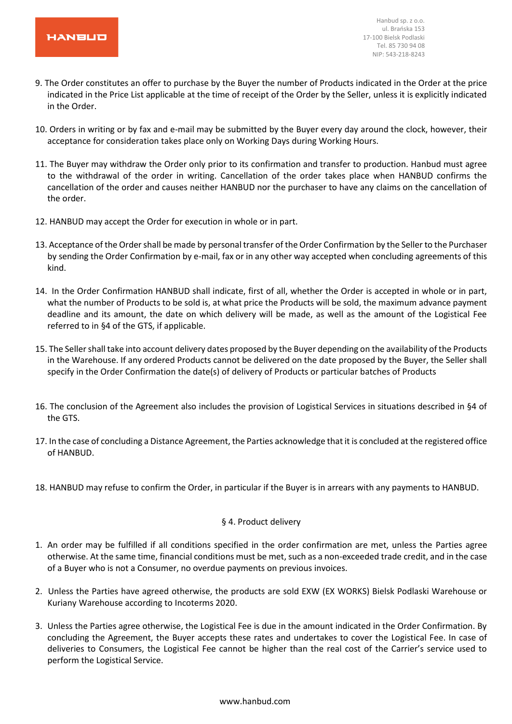

- 9. The Order constitutes an offer to purchase by the Buyer the number of Products indicated in the Order at the price indicated in the Price List applicable at the time of receipt of the Order by the Seller, unless it is explicitly indicated in the Order.
- 10. Orders in writing or by fax and e-mail may be submitted by the Buyer every day around the clock, however, their acceptance for consideration takes place only on Working Days during Working Hours.
- 11. The Buyer may withdraw the Order only prior to its confirmation and transfer to production. Hanbud must agree to the withdrawal of the order in writing. Cancellation of the order takes place when HANBUD confirms the cancellation of the order and causes neither HANBUD nor the purchaser to have any claims on the cancellation of the order.
- 12. HANBUD may accept the Order for execution in whole or in part.
- 13. Acceptance of the Order shall be made by personal transfer of the Order Confirmation by the Seller to the Purchaser by sending the Order Confirmation by e-mail, fax or in any other way accepted when concluding agreements of this kind.
- 14. In the Order Confirmation HANBUD shall indicate, first of all, whether the Order is accepted in whole or in part, what the number of Products to be sold is, at what price the Products will be sold, the maximum advance payment deadline and its amount, the date on which delivery will be made, as well as the amount of the Logistical Fee referred to in §4 of the GTS, if applicable.
- 15. The Seller shall take into account delivery dates proposed by the Buyer depending on the availability of the Products in the Warehouse. If any ordered Products cannot be delivered on the date proposed by the Buyer, the Seller shall specify in the Order Confirmation the date(s) of delivery of Products or particular batches of Products
- 16. The conclusion of the Agreement also includes the provision of Logistical Services in situations described in §4 of the GTS.
- 17. In the case of concluding a Distance Agreement, the Parties acknowledge that it is concluded at the registered office of HANBUD.
- 18. HANBUD may refuse to confirm the Order, in particular if the Buyer is in arrears with any payments to HANBUD.

#### § 4. Product delivery

- 1. An order may be fulfilled if all conditions specified in the order confirmation are met, unless the Parties agree otherwise. At the same time, financial conditions must be met, such as a non-exceeded trade credit, and in the case of a Buyer who is not a Consumer, no overdue payments on previous invoices.
- 2. Unless the Parties have agreed otherwise, the products are sold EXW (EX WORKS) Bielsk Podlaski Warehouse or Kuriany Warehouse according to Incoterms 2020.
- 3. Unless the Parties agree otherwise, the Logistical Fee is due in the amount indicated in the Order Confirmation. By concluding the Agreement, the Buyer accepts these rates and undertakes to cover the Logistical Fee. In case of deliveries to Consumers, the Logistical Fee cannot be higher than the real cost of the Carrier's service used to perform the Logistical Service.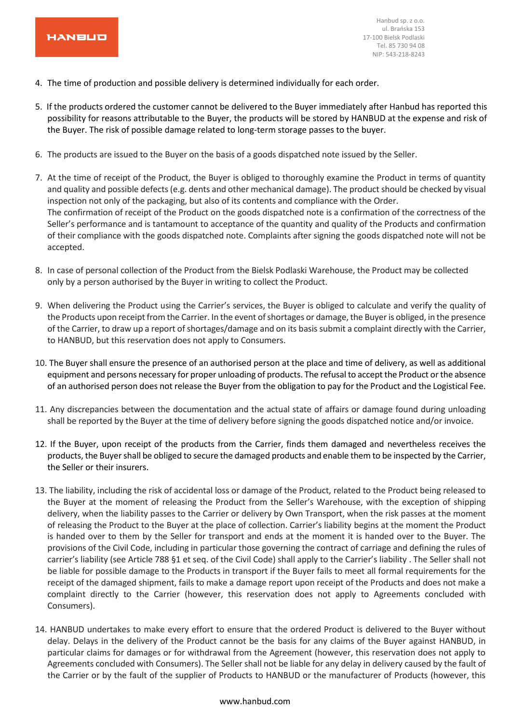

- 4. The time of production and possible delivery is determined individually for each order.
- 5. If the products ordered the customer cannot be delivered to the Buyer immediately after Hanbud has reported this possibility for reasons attributable to the Buyer, the products will be stored by HANBUD at the expense and risk of the Buyer. The risk of possible damage related to long-term storage passes to the buyer.
- 6. The products are issued to the Buyer on the basis of a goods dispatched note issued by the Seller.
- 7. At the time of receipt of the Product, the Buyer is obliged to thoroughly examine the Product in terms of quantity and quality and possible defects (e.g. dents and other mechanical damage). The product should be checked by visual inspection not only of the packaging, but also of its contents and compliance with the Order. The confirmation of receipt of the Product on the goods dispatched note is a confirmation of the correctness of the Seller's performance and is tantamount to acceptance of the quantity and quality of the Products and confirmation of their compliance with the goods dispatched note. Complaints after signing the goods dispatched note will not be accepted.
- 8. In case of personal collection of the Product from the Bielsk Podlaski Warehouse, the Product may be collected only by a person authorised by the Buyer in writing to collect the Product.
- 9. When delivering the Product using the Carrier's services, the Buyer is obliged to calculate and verify the quality of the Products upon receipt from the Carrier. In the event of shortages or damage, the Buyer is obliged, in the presence of the Carrier, to draw up a report of shortages/damage and on its basis submit a complaint directly with the Carrier, to HANBUD, but this reservation does not apply to Consumers.
- 10. The Buyer shall ensure the presence of an authorised person at the place and time of delivery, as well as additional equipment and persons necessary for proper unloading of products. The refusal to accept the Product or the absence of an authorised person does not release the Buyer from the obligation to pay for the Product and the Logistical Fee.
- 11. Any discrepancies between the documentation and the actual state of affairs or damage found during unloading shall be reported by the Buyer at the time of delivery before signing the goods dispatched notice and/or invoice.
- 12. If the Buyer, upon receipt of the products from the Carrier, finds them damaged and nevertheless receives the products, the Buyer shall be obliged to secure the damaged products and enable them to be inspected by the Carrier, the Seller or their insurers.
- 13. The liability, including the risk of accidental loss or damage of the Product, related to the Product being released to the Buyer at the moment of releasing the Product from the Seller's Warehouse, with the exception of shipping delivery, when the liability passes to the Carrier or delivery by Own Transport, when the risk passes at the moment of releasing the Product to the Buyer at the place of collection. Carrier's liability begins at the moment the Product is handed over to them by the Seller for transport and ends at the moment it is handed over to the Buyer. The provisions of the Civil Code, including in particular those governing the contract of carriage and defining the rules of carrier's liability (see Article 788 §1 et seq. of the Civil Code) shall apply to the Carrier's liability . The Seller shall not be liable for possible damage to the Products in transport if the Buyer fails to meet all formal requirements for the receipt of the damaged shipment, fails to make a damage report upon receipt of the Products and does not make a complaint directly to the Carrier (however, this reservation does not apply to Agreements concluded with Consumers).
- 14. HANBUD undertakes to make every effort to ensure that the ordered Product is delivered to the Buyer without delay. Delays in the delivery of the Product cannot be the basis for any claims of the Buyer against HANBUD, in particular claims for damages or for withdrawal from the Agreement (however, this reservation does not apply to Agreements concluded with Consumers). The Seller shall not be liable for any delay in delivery caused by the fault of the Carrier or by the fault of the supplier of Products to HANBUD or the manufacturer of Products (however, this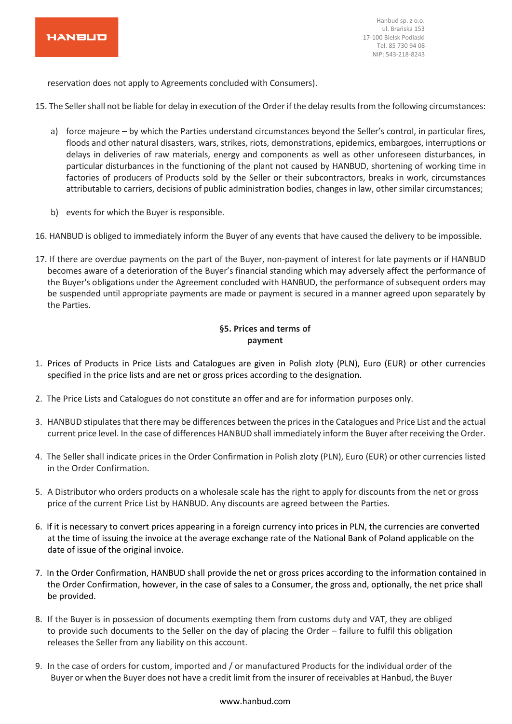

reservation does not apply to Agreements concluded with Consumers).

- 15. The Seller shall not be liable for delay in execution of the Order if the delay results from the following circumstances:
	- a) force majeure by which the Parties understand circumstances beyond the Seller's control, in particular fires, floods and other natural disasters, wars, strikes, riots, demonstrations, epidemics, embargoes, interruptions or delays in deliveries of raw materials, energy and components as well as other unforeseen disturbances, in particular disturbances in the functioning of the plant not caused by HANBUD, shortening of working time in factories of producers of Products sold by the Seller or their subcontractors, breaks in work, circumstances attributable to carriers, decisions of public administration bodies, changes in law, other similar circumstances;
	- b) events for which the Buyer is responsible.

16. HANBUD is obliged to immediately inform the Buyer of any events that have caused the delivery to be impossible.

17. If there are overdue payments on the part of the Buyer, non-payment of interest for late payments or if HANBUD becomes aware of a deterioration of the Buyer's financial standing which may adversely affect the performance of the Buyer's obligations under the Agreement concluded with HANBUD, the performance of subsequent orders may be suspended until appropriate payments are made or payment is secured in a manner agreed upon separately by the Parties.

# **§5. Prices and terms of payment**

- 1. Prices of Products in Price Lists and Catalogues are given in Polish zloty (PLN), Euro (EUR) or other currencies specified in the price lists and are net or gross prices according to the designation.
- 2. The Price Lists and Catalogues do not constitute an offer and are for information purposes only.
- 3. HANBUD stipulates that there may be differences between the prices in the Catalogues and Price List and the actual current price level. In the case of differences HANBUD shall immediately inform the Buyer after receiving the Order.
- 4. The Seller shall indicate prices in the Order Confirmation in Polish zloty (PLN), Euro (EUR) or other currencies listed in the Order Confirmation.
- 5. A Distributor who orders products on a wholesale scale has the right to apply for discounts from the net or gross price of the current Price List by HANBUD. Any discounts are agreed between the Parties.
- 6. If it is necessary to convert prices appearing in a foreign currency into prices in PLN, the currencies are converted at the time of issuing the invoice at the average exchange rate of the National Bank of Poland applicable on the date of issue of the original invoice.
- 7. In the Order Confirmation, HANBUD shall provide the net or gross prices according to the information contained in the Order Confirmation, however, in the case of sales to a Consumer, the gross and, optionally, the net price shall be provided.
- 8. If the Buyer is in possession of documents exempting them from customs duty and VAT, they are obliged to provide such documents to the Seller on the day of placing the Order – failure to fulfil this obligation releases the Seller from any liability on this account.
- 9. In the case of orders for custom, imported and / or manufactured Products for the individual order of the Buyer or when the Buyer does not have a credit limit from the insurer of receivables at Hanbud, the Buyer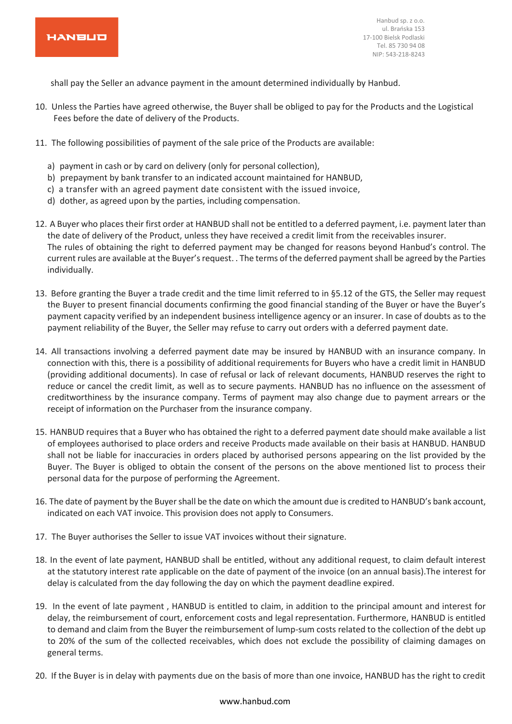

shall pay the Seller an advance payment in the amount determined individually by Hanbud.

- 10. Unless the Parties have agreed otherwise, the Buyer shall be obliged to pay for the Products and the Logistical Fees before the date of delivery of the Products.
- 11. The following possibilities of payment of the sale price of the Products are available:
	- a) payment in cash or by card on delivery (only for personal collection),
	- b) prepayment by bank transfer to an indicated account maintained for HANBUD,
	- c) a transfer with an agreed payment date consistent with the issued invoice,
	- d) dother, as agreed upon by the parties, including compensation.
- 12. A Buyer who places their first order at HANBUD shall not be entitled to a deferred payment, i.e. payment later than the date of delivery of the Product, unless they have received a credit limit from the receivables insurer. The rules of obtaining the right to deferred payment may be changed for reasons beyond Hanbud's control. The current rules are available at the Buyer's request. . The terms of the deferred payment shall be agreed by the Parties individually.
- 13. Before granting the Buyer a trade credit and the time limit referred to in §5.12 of the GTS, the Seller may request the Buyer to present financial documents confirming the good financial standing of the Buyer or have the Buyer's payment capacity verified by an independent business intelligence agency or an insurer. In case of doubts as to the payment reliability of the Buyer, the Seller may refuse to carry out orders with a deferred payment date.
- 14. All transactions involving a deferred payment date may be insured by HANBUD with an insurance company. In connection with this, there is a possibility of additional requirements for Buyers who have a credit limit in HANBUD (providing additional documents). In case of refusal or lack of relevant documents, HANBUD reserves the right to reduce or cancel the credit limit, as well as to secure payments. HANBUD has no influence on the assessment of creditworthiness by the insurance company. Terms of payment may also change due to payment arrears or the receipt of information on the Purchaser from the insurance company.
- 15. HANBUD requires that a Buyer who has obtained the right to a deferred payment date should make available a list of employees authorised to place orders and receive Products made available on their basis at HANBUD. HANBUD shall not be liable for inaccuracies in orders placed by authorised persons appearing on the list provided by the Buyer. The Buyer is obliged to obtain the consent of the persons on the above mentioned list to process their personal data for the purpose of performing the Agreement.
- 16. The date of payment by the Buyer shall be the date on which the amount due is credited to HANBUD's bank account, indicated on each VAT invoice. This provision does not apply to Consumers.
- 17. The Buyer authorises the Seller to issue VAT invoices without their signature.
- 18. In the event of late payment, HANBUD shall be entitled, without any additional request, to claim default interest at the statutory interest rate applicable on the date of payment of the invoice (on an annual basis).The interest for delay is calculated from the day following the day on which the payment deadline expired.
- 19. In the event of late payment , HANBUD is entitled to claim, in addition to the principal amount and interest for delay, the reimbursement of court, enforcement costs and legal representation. Furthermore, HANBUD is entitled to demand and claim from the Buyer the reimbursement of lump-sum costs related to the collection of the debt up to 20% of the sum of the collected receivables, which does not exclude the possibility of claiming damages on general terms.
- 20. If the Buyer is in delay with payments due on the basis of more than one invoice, HANBUD has the right to credit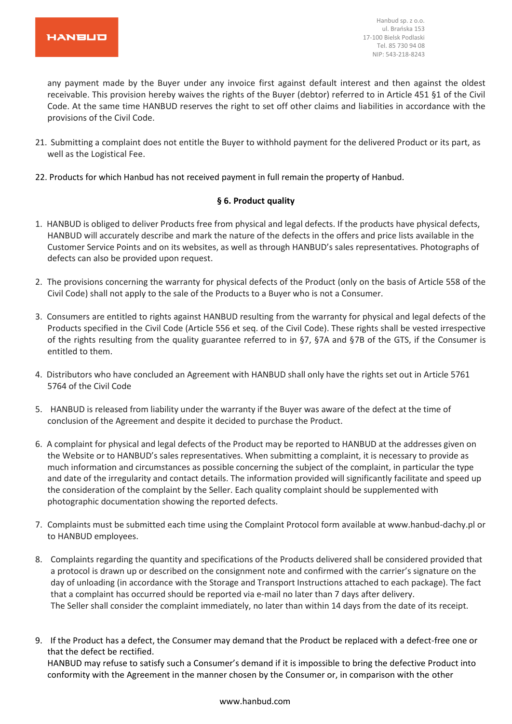any payment made by the Buyer under any invoice first against default interest and then against the oldest receivable. This provision hereby waives the rights of the Buyer (debtor) referred to in Article 451 §1 of the Civil Code. At the same time HANBUD reserves the right to set off other claims and liabilities in accordance with the provisions of the Civil Code.

- 21. Submitting a complaint does not entitle the Buyer to withhold payment for the delivered Product or its part, as well as the Logistical Fee.
- 22. Products for which Hanbud has not received payment in full remain the property of Hanbud.

# **§ 6. Product quality**

- 1. HANBUD is obliged to deliver Products free from physical and legal defects. If the products have physical defects, HANBUD will accurately describe and mark the nature of the defects in the offers and price lists available in the Customer Service Points and on its websites, as well as through HANBUD's sales representatives. Photographs of defects can also be provided upon request.
- 2. The provisions concerning the warranty for physical defects of the Product (only on the basis of Article 558 of the Civil Code) shall not apply to the sale of the Products to a Buyer who is not a Consumer.
- 3. Consumers are entitled to rights against HANBUD resulting from the warranty for physical and legal defects of the Products specified in the Civil Code (Article 556 et seq. of the Civil Code). These rights shall be vested irrespective of the rights resulting from the quality guarantee referred to in §7, §7A and §7B of the GTS, if the Consumer is entitled to them.
- 4. Distributors who have concluded an Agreement with HANBUD shall only have the rights set out in Article 5761 5764 of the Civil Code
- 5. HANBUD is released from liability under the warranty if the Buyer was aware of the defect at the time of conclusion of the Agreement and despite it decided to purchase the Product.
- 6. A complaint for physical and legal defects of the Product may be reported to HANBUD at the addresses given on the Website or to HANBUD's sales representatives. When submitting a complaint, it is necessary to provide as much information and circumstances as possible concerning the subject of the complaint, in particular the type and date of the irregularity and contact details. The information provided will significantly facilitate and speed up the consideration of the complaint by the Seller. Each quality complaint should be supplemented with photographic documentation showing the reported defects.
- 7. Complaints must be submitted each time using the Complaint Protocol form available at www.hanbud-dachy.pl or to HANBUD employees.
- 8. Complaints regarding the quantity and specifications of the Products delivered shall be considered provided that a protocol is drawn up or described on the consignment note and confirmed with the carrier's signature on the day of unloading (in accordance with the Storage and Transport Instructions attached to each package). The fact that a complaint has occurred should be reported via e-mail no later than 7 days after delivery. The Seller shall consider the complaint immediately, no later than within 14 days from the date of its receipt.
- 9. If the Product has a defect, the Consumer may demand that the Product be replaced with a defect-free one or that the defect be rectified.

HANBUD may refuse to satisfy such a Consumer's demand if it is impossible to bring the defective Product into conformity with the Agreement in the manner chosen by the Consumer or, in comparison with the other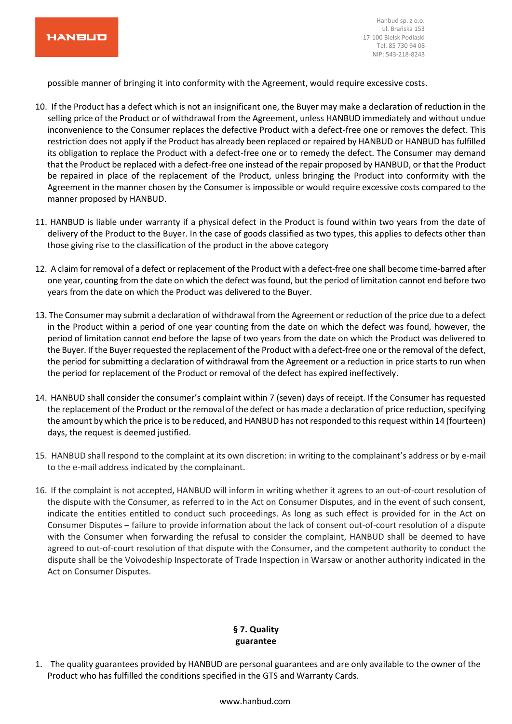

possible manner of bringing it into conformity with the Agreement, would require excessive costs.

- 10. If the Product has a defect which is not an insignificant one, the Buyer may make a declaration of reduction in the selling price of the Product or of withdrawal from the Agreement, unless HANBUD immediately and without undue inconvenience to the Consumer replaces the defective Product with a defect-free one or removes the defect. This restriction does not apply if the Product has already been replaced or repaired by HANBUD or HANBUD has fulfilled its obligation to replace the Product with a defect-free one or to remedy the defect. The Consumer may demand that the Product be replaced with a defect-free one instead of the repair proposed by HANBUD, or that the Product be repaired in place of the replacement of the Product, unless bringing the Product into conformity with the Agreement in the manner chosen by the Consumer is impossible or would require excessive costs compared to the manner proposed by HANBUD.
- 11. HANBUD is liable under warranty if a physical defect in the Product is found within two years from the date of delivery of the Product to the Buyer. In the case of goods classified as two types, this applies to defects other than those giving rise to the classification of the product in the above category
- 12. A claim for removal of a defect or replacement of the Product with a defect-free one shall become time-barred after one year, counting from the date on which the defect was found, but the period of limitation cannot end before two years from the date on which the Product was delivered to the Buyer.
- 13. The Consumer may submit a declaration of withdrawal from the Agreement or reduction of the price due to a defect in the Product within a period of one year counting from the date on which the defect was found, however, the period of limitation cannot end before the lapse of two years from the date on which the Product was delivered to the Buyer. If the Buyer requested the replacement of the Product with a defect-free one or the removal of the defect, the period for submitting a declaration of withdrawal from the Agreement or a reduction in price starts to run when the period for replacement of the Product or removal of the defect has expired ineffectively.
- 14. HANBUD shall consider the consumer's complaint within 7 (seven) days of receipt. If the Consumer has requested the replacement of the Product or the removal of the defect or has made a declaration of price reduction, specifying the amount by which the price is to be reduced, and HANBUD has not responded to this request within 14 (fourteen) days, the request is deemed justified.
- 15. HANBUD shall respond to the complaint at its own discretion: in writing to the complainant's address or by e-mail to the e-mail address indicated by the complainant.
- 16. If the complaint is not accepted, HANBUD will inform in writing whether it agrees to an out-of-court resolution of the dispute with the Consumer, as referred to in the Act on Consumer Disputes, and in the event of such consent, indicate the entities entitled to conduct such proceedings. As long as such effect is provided for in the Act on Consumer Disputes – failure to provide information about the lack of consent out-of-court resolution of a dispute with the Consumer when forwarding the refusal to consider the complaint, HANBUD shall be deemed to have agreed to out-of-court resolution of that dispute with the Consumer, and the competent authority to conduct the dispute shall be the Voivodeship Inspectorate of Trade Inspection in Warsaw or another authority indicated in the Act on Consumer Disputes.

# **§ 7. Quality guarantee**

1. The quality guarantees provided by HANBUD are personal guarantees and are only available to the owner of the Product who has fulfilled the conditions specified in the GTS and Warranty Cards.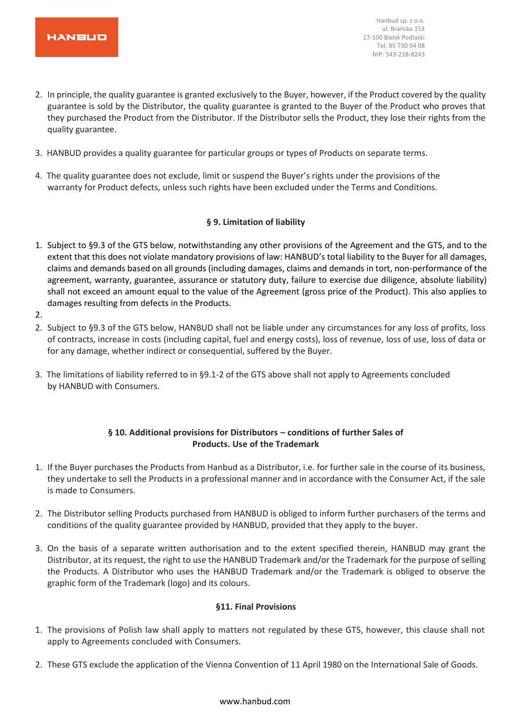

- 2. In principle, the quality guarantee is granted exclusively to the Buyer, however, if the Product covered by the quality guarantee is sold by the Distributor, the quality guarantee is granted to the Buyer of the Product who proves that they purchased the Product from the Distributor. If the Distributor sells the Product, they lose their rights from the quality guarantee.
- 3. HANBUD provides a quality guarantee for particular groups or types of Products on separate terms.
- 4. The quality guarantee does not exclude, limit or suspend the Buyer's rights under the provisions of the warranty for Product defects, unless such rights have been excluded under the Terms and Conditions.

# **§ 9. Limitation of liability**

- 1. Subject to §9.3 of the GTS below, notwithstanding any other provisions of the Agreement and the GTS, and to the extent that this does not violate mandatory provisions of law: HANBUD's total liability to the Buyer for all damages, claims and demands based on all grounds (including damages, claims and demands in tort, non-performance of the agreement, warranty, guarantee, assurance or statutory duty, failure to exercise due diligence, absolute liability) shall not exceed an amount equal to the value of the Agreement (gross price of the Product). This also applies to damages resulting from defects in the Products.
- 2.
- 2. Subject to §9.3 of the GTS below, HANBUD shall not be liable under any circumstances for any loss of profits, loss of contracts, increase in costs (including capital, fuel and energy costs), loss of revenue, loss of use, loss of data or for any damage, whether indirect or consequential, suffered by the Buyer.
- 3. The limitations of liability referred to in §9.1-2 of the GTS above shall not apply to Agreements concluded by HANBUD with Consumers.

# **§ 10. Additional provisions for Distributors – conditions of further Sales of Products. Use of the Trademark**

- 1. If the Buyer purchases the Products from Hanbud as a Distributor, i.e. for further sale in the course of its business, they undertake to sell the Products in a professional manner and in accordance with the Consumer Act, if the sale is made to Consumers.
- 2. The Distributor selling Products purchased from HANBUD is obliged to inform further purchasers of the terms and conditions of the quality guarantee provided by HANBUD, provided that they apply to the buyer.
- 3. On the basis of a separate written authorisation and to the extent specified therein, HANBUD may grant the Distributor, at its request, the right to use the HANBUD Trademark and/or the Trademark for the purpose of selling the Products. A Distributor who uses the HANBUD Trademark and/or the Trademark is obliged to observe the graphic form of the Trademark (logo) and its colours.

#### **§11. Final Provisions**

- 1. The provisions of Polish law shall apply to matters not regulated by these GTS, however, this clause shall not apply to Agreements concluded with Consumers.
- 2. These GTS exclude the application of the Vienna Convention of 11 April 1980 on the International Sale of Goods.

#### www.hanbud.com